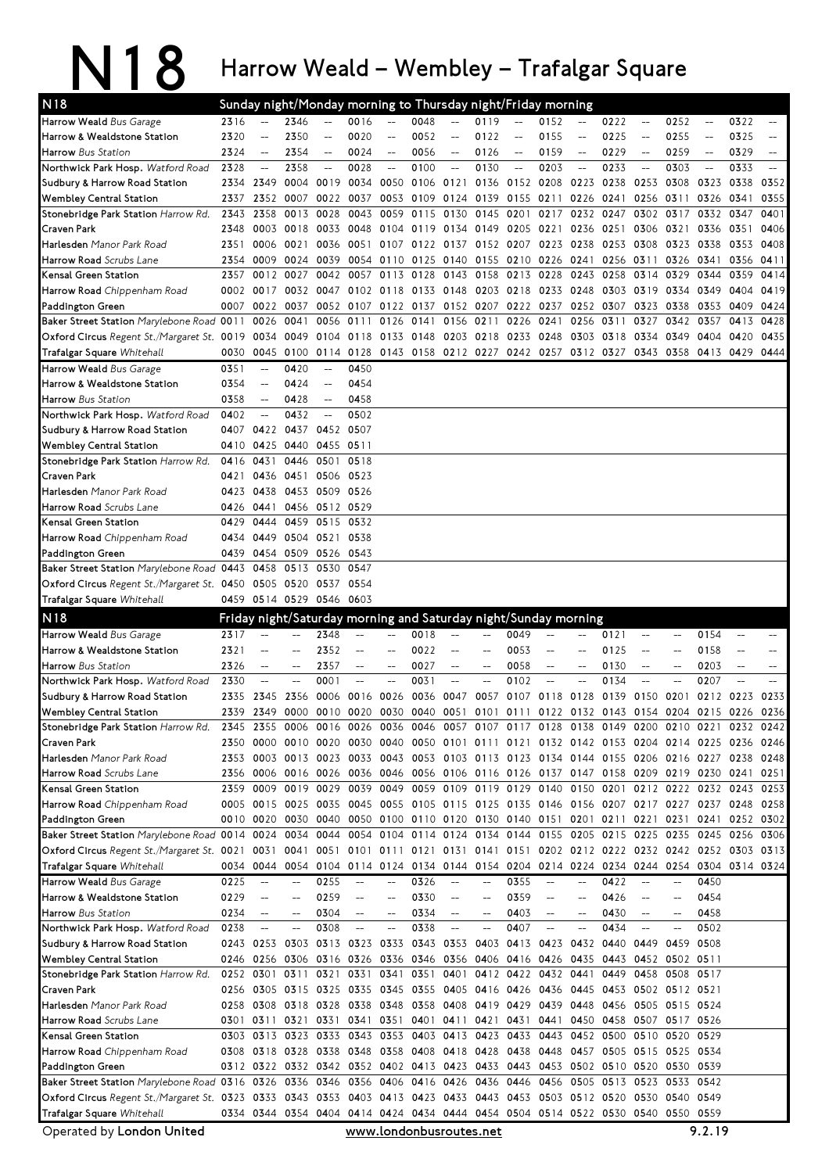## N18 Harrow Weald – Wembley – Trafalgar Square

| N <sub>18</sub>                                                                                                                                     |      |                          |                          |                          |                          |                                                     |                          |                          |                                    |                          | Sunday night/Monday morning to Thursday night/Friday morning    |                                                     |                     |                          |                                                                                           |                          |                   |                          |
|-----------------------------------------------------------------------------------------------------------------------------------------------------|------|--------------------------|--------------------------|--------------------------|--------------------------|-----------------------------------------------------|--------------------------|--------------------------|------------------------------------|--------------------------|-----------------------------------------------------------------|-----------------------------------------------------|---------------------|--------------------------|-------------------------------------------------------------------------------------------|--------------------------|-------------------|--------------------------|
| Harrow Weald Bus Garage                                                                                                                             | 2316 | $\overline{\phantom{a}}$ | 2346                     | $\overline{a}$           | 0016                     | $- -$                                               | 0048                     | $ \!-$                   | 0119                               | $\overline{\phantom{a}}$ | 0152                                                            | $- -$                                               | 0222                | $\overline{\phantom{a}}$ | 0252                                                                                      | $\overline{\phantom{m}}$ | 0322              | $\overline{\phantom{m}}$ |
| Harrow & Wealdstone Station                                                                                                                         | 2320 | $-$                      | 2350                     |                          | 0020                     |                                                     | 0052                     | $\overline{\phantom{a}}$ | 0122                               |                          | 0155                                                            | $\overline{a}$                                      | 0225                | $\overline{a}$           | 0255                                                                                      | $\overline{a}$           | 0325              | $-$                      |
| <b>Harrow</b> Bus Station                                                                                                                           | 2324 | $- -$                    | 2354                     | $\overline{\phantom{a}}$ | 0024                     | $\hspace{0.05cm} -\hspace{0.05cm} -\hspace{0.05cm}$ | 0056                     | $-\!$                    | 0126                               | $\qquad \qquad -$        | 0159                                                            | $\hspace{0.05cm} -\hspace{0.05cm}$                  | 0229                | $\qquad \qquad -$        | 0259                                                                                      | $\overline{\phantom{a}}$ | 0329              | $-$                      |
| <b>Northwick Park Hosp.</b> Watford Road                                                                                                            | 2328 | $ \!-$                   | 2358                     | $\overline{\phantom{a}}$ | 0028                     | $\overline{\phantom{m}}$                            | 0100                     | $ \!-$                   | 0130                               | $\qquad \qquad -$        | 0203                                                            | $\overline{\phantom{a}}$                            | 0233                | $ \!-$                   | 0303                                                                                      | $\overline{\phantom{a}}$ | 0333              | $-$                      |
| Sudbury & Harrow Road Station                                                                                                                       | 2334 | 2349                     | 0004                     | 0019                     |                          | 0034 0050                                           |                          | 0106 0121                | 0136                               |                          | 0152 0208 0223                                                  |                                                     | 0238                | 0253                     | 0308                                                                                      | 0323                     | 0338              | 0352                     |
| <b>Wembley Central Station</b>                                                                                                                      | 2337 | 2352                     | 0007                     | 0022                     | 0037                     | 0053                                                | 0109                     | 0124 0139                |                                    | 0155 0211                |                                                                 | 0226                                                | 0241                | 0256                     | 0311                                                                                      | 0326                     | 0341              | 0355                     |
| Stonebridge Park Station Harrow Rd.                                                                                                                 | 2343 | 2358                     | 0013                     | 0028                     | 0043                     | 0059                                                | 0115                     | 0130 0145                |                                    | 0201                     | 0217                                                            | 0232                                                | 0247                | 0302                     | 0317                                                                                      | 0332                     | 0347              | 0401                     |
| Craven Park                                                                                                                                         | 2348 | 0003                     | 0018                     | 0033                     |                          | 0048 0104                                           | 0119                     | 0134 0149                |                                    |                          | 0205 0221                                                       | 0236                                                | 0251                | 0306                     | 0321                                                                                      | 0336                     | 0351              | 0406                     |
| Harlesden Manor Park Road                                                                                                                           | 2351 | 0006                     | 0021                     | 0036                     | 0051                     |                                                     | 0107 0122                |                          |                                    |                          | 0137 0152 0207 0223 0238                                        |                                                     | 0253                | 0308                     | 0323                                                                                      | 0338                     | 0353              | 0408                     |
| Harrow Road Scrubs Lane                                                                                                                             | 2354 | 0009                     | 0024                     | 0039                     |                          | 0054 0110                                           | 0125                     | 0140 0155                |                                    |                          | 0210 0226 0241                                                  |                                                     |                     | 0256 0311                | 0326                                                                                      | 0341                     | 0356              | 0411                     |
| Kensal Green Station                                                                                                                                | 2357 |                          | 0012 0027                | 0042                     | 0057                     | 0113                                                | 0128                     |                          | 0143 0158                          | 0213 0228                |                                                                 | 0243                                                | 0258                | 0314                     | 0329                                                                                      | 0344                     | 0359              | 0414                     |
| <b>Harrow Road</b> Chippenham Road                                                                                                                  | 0002 | 0017                     |                          | 0032 0047                |                          | 0102 0118                                           | 0133                     | 0148 0203                |                                    |                          | 0218 0233 0248                                                  |                                                     | 0303                | 0319                     | 0334                                                                                      | 0349                     | 0404              | 0419                     |
| Paddington Green                                                                                                                                    |      | 0007 0022 0037           |                          |                          |                          |                                                     |                          |                          |                                    |                          | 0052 0107 0122 0137 0152 0207 0222 0237                         |                                                     | 0252 0307 0323 0338 |                          |                                                                                           | 0353                     | 0409              | 0424                     |
| Baker Street Station Marylebone Road 0011                                                                                                           |      | 0026 0041                |                          |                          | 0056 0111                | 0126                                                | 0141                     |                          | 0156 0211                          | 0226 0241                |                                                                 | 0256                                                | 0311                | 0327                     | 0342                                                                                      | 0357                     | 0413              | 0428                     |
| Oxford Circus Regent St./Margaret St. 0019 0034 0049                                                                                                |      |                          |                          | 0104                     | 0118                     | 0133                                                | 0148                     | 0203 0218                |                                    | 0233 0248                |                                                                 | 0303                                                | 0318                | 0334                     | 0349                                                                                      | 0404                     | 0420              | 0435                     |
| Trafalgar Square Whitehall                                                                                                                          | 0030 |                          | 0045 0100                |                          |                          |                                                     |                          |                          |                                    |                          | 0114 0128 0143 0158 0212 0227 0242 0257 0312 0327               |                                                     |                     |                          | 0343 0358                                                                                 | 0413 0429                |                   | 0444                     |
| Harrow Weald Bus Garage                                                                                                                             | 0351 | $- -$                    | 0420                     | $\overline{\phantom{a}}$ | 0450                     |                                                     |                          |                          |                                    |                          |                                                                 |                                                     |                     |                          |                                                                                           |                          |                   |                          |
| Harrow & Wealdstone Station                                                                                                                         | 0354 | $\qquad \qquad -$        | 0424                     | $\overline{\phantom{a}}$ | 0454                     |                                                     |                          |                          |                                    |                          |                                                                 |                                                     |                     |                          |                                                                                           |                          |                   |                          |
| Harrow Bus Station                                                                                                                                  | 0358 | $ \!-$                   | 0428                     | $-$                      | 0458                     |                                                     |                          |                          |                                    |                          |                                                                 |                                                     |                     |                          |                                                                                           |                          |                   |                          |
| Northwick Park Hosp. Watford Road                                                                                                                   | 0402 | $\overline{a}$           | 0432                     | $\overline{\phantom{a}}$ | 0502                     |                                                     |                          |                          |                                    |                          |                                                                 |                                                     |                     |                          |                                                                                           |                          |                   |                          |
| Sudbury & Harrow Road Station                                                                                                                       |      | 0407 0422                |                          | 0437 0452 0507           |                          |                                                     |                          |                          |                                    |                          |                                                                 |                                                     |                     |                          |                                                                                           |                          |                   |                          |
| Wembley Central Station                                                                                                                             | 0410 | 0425                     | 0440                     | 0455                     | 0511                     |                                                     |                          |                          |                                    |                          |                                                                 |                                                     |                     |                          |                                                                                           |                          |                   |                          |
| Stonebridge Park Station Harrow Rd.                                                                                                                 | 0416 | 0431                     | 0446                     | 0501                     | 0518                     |                                                     |                          |                          |                                    |                          |                                                                 |                                                     |                     |                          |                                                                                           |                          |                   |                          |
| Craven Park                                                                                                                                         | 0421 | 0436                     |                          | 0451 0506                | 0523                     |                                                     |                          |                          |                                    |                          |                                                                 |                                                     |                     |                          |                                                                                           |                          |                   |                          |
| <b>Harlesden</b> Manor Park Road                                                                                                                    | 0423 |                          | 0438 0453 0509 0526      |                          |                          |                                                     |                          |                          |                                    |                          |                                                                 |                                                     |                     |                          |                                                                                           |                          |                   |                          |
| Harrow Road Scrubs Lane                                                                                                                             |      | 0426 0441                |                          | 0456 0512 0529           |                          |                                                     |                          |                          |                                    |                          |                                                                 |                                                     |                     |                          |                                                                                           |                          |                   |                          |
| Kensal Green Station                                                                                                                                | 0429 | 0444                     | 0459                     | 0515                     | 0532                     |                                                     |                          |                          |                                    |                          |                                                                 |                                                     |                     |                          |                                                                                           |                          |                   |                          |
| <b>Harrow Road</b> Chippenham Road                                                                                                                  | 0434 |                          | 0449 0504 0521           |                          | 0538                     |                                                     |                          |                          |                                    |                          |                                                                 |                                                     |                     |                          |                                                                                           |                          |                   |                          |
| Paddington Green                                                                                                                                    |      |                          | 0439 0454 0509 0526 0543 |                          |                          |                                                     |                          |                          |                                    |                          |                                                                 |                                                     |                     |                          |                                                                                           |                          |                   |                          |
| Baker Street Station Marylebone Road 0443 0458 0513                                                                                                 |      |                          |                          | 0530                     | 0547                     |                                                     |                          |                          |                                    |                          |                                                                 |                                                     |                     |                          |                                                                                           |                          |                   |                          |
| Oxford Circus Regent St./Margaret St. 0450 0505 0520                                                                                                |      |                          |                          | 0537                     | 0554                     |                                                     |                          |                          |                                    |                          |                                                                 |                                                     |                     |                          |                                                                                           |                          |                   |                          |
| Trafalgar Square Whitehall                                                                                                                          |      |                          | 0459 0514 0529 0546 0603 |                          |                          |                                                     |                          |                          |                                    |                          |                                                                 |                                                     |                     |                          |                                                                                           |                          |                   |                          |
|                                                                                                                                                     |      |                          |                          |                          |                          |                                                     |                          |                          |                                    |                          |                                                                 |                                                     |                     |                          |                                                                                           |                          |                   |                          |
| N <sub>18</sub>                                                                                                                                     |      |                          |                          |                          |                          |                                                     |                          |                          |                                    |                          | Friday night/Saturday morning and Saturday night/Sunday morning |                                                     |                     |                          |                                                                                           |                          |                   |                          |
| Harrow Weald Bus Garage                                                                                                                             | 2317 | $\overline{\phantom{m}}$ | $-$                      | 2348                     | $\qquad \qquad -$        | $\hspace{0.05cm}--\hspace{0.05cm}$                  | 0018                     |                          |                                    | 0049                     |                                                                 | $\hspace{0.05cm} -\hspace{0.05cm} -\hspace{0.05cm}$ | 0121                | $\overline{\phantom{a}}$ |                                                                                           | 0154                     | $\qquad \qquad -$ |                          |
| Harrow & Wealdstone Station                                                                                                                         | 2321 | $-$                      |                          | 2352                     | $-$                      |                                                     | 0022                     |                          |                                    | 0053                     |                                                                 | $\overline{a}$                                      | 0125                |                          |                                                                                           | 0158                     |                   | --                       |
| Harrow Bus Station                                                                                                                                  | 2326 | $-\!$ –                  | $-$                      | 2357                     | $\qquad \qquad -$        | $-$                                                 | 0027                     | --                       | $\hspace{0.05cm} -\hspace{0.05cm}$ | 0058                     | $\overline{\phantom{a}}$                                        | $\overline{\phantom{m}}$                            | 0130                | $-\!$                    | $\overline{\phantom{a}}$                                                                  | 0203                     | $-\!$             |                          |
| Northwick Park Hosp. Watford Road                                                                                                                   | 2330 | $\overline{\phantom{a}}$ | $-$                      | 0001                     | $\overline{\phantom{0}}$ |                                                     | 0031                     | $-$                      |                                    | 0102                     | $-$                                                             | $\overline{a}$                                      | 0134                | $\overline{\phantom{a}}$ |                                                                                           | 0207                     | $\overline{a}$    |                          |
| Sudbury & Harrow Road Station                                                                                                                       | 2335 | 2345                     | 2356                     | 0006                     | 0016                     | 0026                                                | 0036                     | 0047                     | 0057                               | 0107                     | 0118 0128                                                       |                                                     | 0139                | 0150                     | 0201                                                                                      | 0212                     | 0223              | 0233                     |
| <b>Wembley Central Station</b>                                                                                                                      |      | 2339 2349 0000           |                          |                          | 0010 0020 0030           |                                                     | 0040                     | 0051                     | 0101                               | 0111                     | 0122 0132                                                       |                                                     |                     |                          | 0143 0154 0204                                                                            | 0215 0226                |                   | 0236                     |
| Stonebridge Park Station Harrow Rd.                                                                                                                 |      |                          |                          |                          |                          |                                                     |                          |                          |                                    |                          |                                                                 |                                                     |                     |                          | 2345 2355 0006 0016 0026 0036 0046 0057 0107 0117 0128 0138 0149 0200 0210 0221 0232 0242 |                          |                   |                          |
| Craven Park                                                                                                                                         | 2350 |                          |                          |                          |                          |                                                     |                          |                          |                                    |                          |                                                                 |                                                     |                     |                          | 0000 0010 0020 0030 0040 0050 0101 0111 0121 0132 0142 0153 0204 0214 0225 0236 0246      |                          |                   |                          |
| Harlesden Manor Park Road                                                                                                                           |      |                          |                          |                          |                          |                                                     |                          |                          |                                    |                          |                                                                 |                                                     |                     |                          | 2353 0003 0013 0023 0033 0043 0053 0103 0113 0123 0134 0144 0155 0206 0216 0227 0238 0248 |                          |                   |                          |
| Harrow Road Scrubs Lane                                                                                                                             |      |                          |                          |                          |                          |                                                     |                          |                          |                                    |                          |                                                                 |                                                     |                     |                          | 2356 0006 0016 0026 0036 0046 0056 0106 0116 0126 0137 0147 0158 0209 0219 0230 0241 0251 |                          |                   |                          |
| Kensal Green Station                                                                                                                                |      |                          |                          |                          |                          |                                                     |                          |                          |                                    |                          |                                                                 |                                                     |                     |                          | 2359 0009 0019 0029 0039 0049 0059 0109 0119 0129 0140 0150 0201 0212 0222 0232 0243      |                          |                   | 0253                     |
| <b>Harrow Road</b> Chippenham Road                                                                                                                  |      |                          |                          |                          |                          |                                                     |                          |                          |                                    |                          |                                                                 |                                                     |                     |                          | 0005 0015 0025 0035 0045 0055 0105 0115 0125 0135 0146 0156 0207 0217 0227 0237 0248 0258 |                          |                   |                          |
| Paddington Green                                                                                                                                    |      |                          |                          |                          |                          |                                                     |                          |                          |                                    |                          |                                                                 |                                                     |                     |                          | 0010 0020 0030 0040 0050 0100 0110 0120 0130 0140 0151 0201 0211 0221 0231 0241 0252 0302 |                          |                   |                          |
| Baker Street Station Marylebone Road 0014 0024                                                                                                      |      |                          |                          | 0034 0044                |                          |                                                     |                          |                          |                                    |                          |                                                                 |                                                     |                     |                          | 0054 0104 0114 0124 0134 0144 0155 0205 0215 0225 0235 0245 0256 0306                     |                          |                   |                          |
| Oxford Circus Regent St./Margaret St. 0021                                                                                                          |      | 0031                     | 0041                     | 0051                     |                          |                                                     |                          |                          |                                    |                          |                                                                 |                                                     |                     |                          | 0101 0111 0121 0131 0141 0151 0202 0212 0222 0232 0242 0252 0303 0313                     |                          |                   |                          |
| Trafalgar Square Whitehall                                                                                                                          |      | 0034 0044                |                          |                          |                          |                                                     |                          |                          |                                    |                          |                                                                 |                                                     |                     |                          | 0054 0104 0114 0124 0134 0144 0154 0204 0214 0224 0234 0244 0254 0304 0314 0324           |                          |                   |                          |
| Harrow Weald Bus Garage                                                                                                                             | 0225 | $\overline{\phantom{m}}$ | $-$                      | 0255                     | $\qquad \qquad -$        | $\qquad \qquad -$                                   | 0326                     | $ \!-$                   | $-$                                | 0355                     | $-$                                                             | $\hspace{0.05cm}--\hspace{0.05cm}$                  | 0422                | $\overline{\phantom{a}}$ | $\hspace{0.05cm} -\hspace{0.05cm}$                                                        | 0450                     |                   |                          |
| Harrow & Wealdstone Station                                                                                                                         | 0229 | $\qquad \qquad -$        |                          | 0259                     | --                       |                                                     | 0330                     | --                       | $\overline{\phantom{a}}$           | 0359                     | $-$                                                             | $\overline{\phantom{a}}$                            | 0426                |                          |                                                                                           | 0454                     |                   |                          |
| <b>Harrow</b> Bus Station                                                                                                                           | 0234 | $-\!$ –                  | $\overline{\phantom{a}}$ | 0304                     | $\overline{\phantom{a}}$ | $\qquad \qquad -$                                   | 0334                     | $-\!$                    | $-$                                | 0403                     | $\qquad \qquad -$                                               | $\hspace{0.05cm} -\hspace{0.05cm}$                  | 0430                | $\overline{\phantom{a}}$ |                                                                                           | 0458                     |                   |                          |
| Northwick Park Hosp. Watford Road                                                                                                                   | 0238 | $\sim$                   | $- -$                    | 0308                     | $\overline{\phantom{a}}$ | $\overline{\phantom{m}}$                            | 0338                     | $\overline{\phantom{m}}$ | $\overline{\phantom{a}}$           | 0407                     | $-$                                                             | $- -$                                               | 0434                | $\overline{\phantom{a}}$ | $-$                                                                                       | 0502                     |                   |                          |
| Sudbury & Harrow Road Station                                                                                                                       |      | 0243 0253 0303           |                          |                          | 0313 0323 0333           |                                                     |                          | 0343 0353 0403           |                                    |                          | 0413 0423                                                       | 0432                                                | 0440                |                          | 0449 0459                                                                                 | 0508                     |                   |                          |
| Wembley Central Station                                                                                                                             |      | 0246 0256 0306           |                          |                          |                          |                                                     |                          |                          |                                    |                          | 0316 0326 0336 0346 0356 0406 0416 0426 0435                    |                                                     |                     |                          | 0443 0452 0502 0511                                                                       |                          |                   |                          |
| Stonebridge Park Station Harrow Rd.                                                                                                                 |      | 0252 0301                | 0311 0321                |                          | 0331                     | 0341                                                | 0351                     | 0401                     |                                    |                          | 0412 0422 0432 0441                                             |                                                     | 0449                | 0458                     | 0508 0517                                                                                 |                          |                   |                          |
| Craven Park                                                                                                                                         |      |                          |                          |                          |                          |                                                     |                          |                          |                                    |                          | 0256 0305 0315 0325 0335 0345 0355 0405 0416 0426 0436 0445     |                                                     |                     |                          | 0453 0502 0512 0521                                                                       |                          |                   |                          |
| <b>Harlesden</b> Manor Park Road                                                                                                                    |      |                          |                          |                          |                          |                                                     |                          |                          |                                    |                          | 0258 0308 0318 0328 0338 0348 0358 0408 0419 0429 0439 0448     |                                                     |                     |                          | 0456 0505 0515 0524                                                                       |                          |                   |                          |
| <b>Harrow Road</b> Scrubs Lane                                                                                                                      |      |                          | 0301 0311 0321 0331      |                          |                          |                                                     |                          |                          |                                    |                          |                                                                 |                                                     |                     |                          | 0341 0351 0401 0411 0421 0431 0441 0450 0458 0507 0517 0526                               |                          |                   |                          |
| Kensal Green Station                                                                                                                                |      |                          | 0303 0313 0323 0333      |                          |                          |                                                     | 0343 0353 0403 0413 0423 |                          |                                    |                          |                                                                 |                                                     |                     |                          | 0433 0443 0452 0500 0510 0520 0529                                                        |                          |                   |                          |
| <b>Harrow Road</b> Chippenham Road                                                                                                                  |      |                          |                          |                          |                          |                                                     |                          |                          |                                    |                          |                                                                 |                                                     |                     |                          | 0308 0318 0328 0338 0348 0358 0408 0418 0428 0438 0448 0457 0505 0515 0525 0534           |                          |                   |                          |
| Paddington Green                                                                                                                                    |      |                          |                          |                          |                          |                                                     |                          |                          |                                    |                          |                                                                 |                                                     |                     |                          | 0312 0322 0332 0342 0352 0402 0413 0423 0433 0443 0453 0502 0510 0520 0530 0539           |                          |                   |                          |
| Baker Street Station Marylebone Road 0316 0326 0336 0346 0356 0406 0416 0426 0436                                                                   |      |                          |                          |                          |                          |                                                     |                          |                          |                                    |                          |                                                                 |                                                     |                     |                          | 0446 0456 0505 0513 0523 0533 0542                                                        |                          |                   |                          |
| Oxford Circus Regent St./Margaret St. 0323 0333 0343 0353 0403 0413 0423 0433 0443 0453 0503 0512 0520 0530 0540 0549<br>Trafalgar Square Whitehall |      |                          |                          |                          |                          |                                                     |                          |                          |                                    |                          |                                                                 |                                                     |                     |                          | 0334 0344 0354 0404 0414 0424 0434 0444 0454 0504 0514 0522 0530 0540 0550 0559           |                          |                   |                          |

Operated by London United

www.londonbusroutes.net 9.2.19